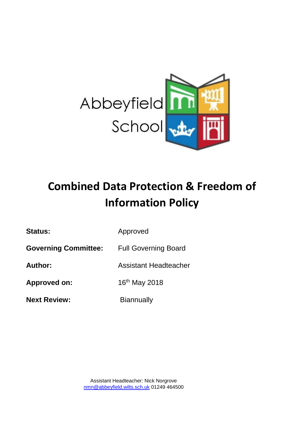

# **Combined Data Protection & Freedom of Information Policy**

Status: **Approved** 

**Governing Committee:** Full Governing Board

**Author:** Assistant Headteacher

Approved on: 16<sup>th</sup> May 2018

**Next Review:** Biannually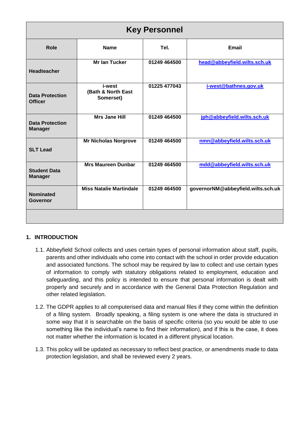| <b>Key Personnel</b>                     |                                           |              |                                    |  |  |  |  |
|------------------------------------------|-------------------------------------------|--------------|------------------------------------|--|--|--|--|
| Role                                     | <b>Name</b>                               | Tel.         | <b>Email</b>                       |  |  |  |  |
| <b>Headteacher</b>                       | <b>Mr lan Tucker</b>                      | 01249 464500 | head@abbeyfield.wilts.sch.uk       |  |  |  |  |
| <b>Data Protection</b><br><b>Officer</b> | i-west<br>(Bath & North East<br>Somerset) | 01225 477043 | i-west@bathnes.gov.uk              |  |  |  |  |
| <b>Data Protection</b><br><b>Manager</b> | <b>Mrs Jane Hill</b>                      | 01249 464500 | jph@abbeyfield.wilts.sch.uk        |  |  |  |  |
| <b>SLT Lead</b>                          | <b>Mr Nicholas Norgrove</b>               | 01249 464500 | nmn@abbeyfield.wilts.sch.uk        |  |  |  |  |
| <b>Student Data</b><br><b>Manager</b>    | <b>Mrs Maureen Dunbar</b>                 | 01249 464500 | mdd@abbeyfield.wilts.sch.uk        |  |  |  |  |
| <b>Nominated</b><br>Governor             | <b>Miss Natalie Martindale</b>            | 01249 464500 | governorNM@abbeyfield.wilts.sch.uk |  |  |  |  |
|                                          |                                           |              |                                    |  |  |  |  |

# **1. INTRODUCTION**

- 1.1. Abbeyfield School collects and uses certain types of personal information about staff, pupils, parents and other individuals who come into contact with the school in order provide education and associated functions. The school may be required by law to collect and use certain types of information to comply with statutory obligations related to employment, education and safeguarding, and this policy is intended to ensure that personal information is dealt with properly and securely and in accordance with the General Data Protection Regulation and other related legislation.
- 1.2. The GDPR applies to all computerised data and manual files if they come within the definition of a filing system. Broadly speaking, a filing system is one where the data is structured in some way that it is searchable on the basis of specific criteria (so you would be able to use something like the individual's name to find their information), and if this is the case, it does not matter whether the information is located in a different physical location.
- 1.3. This policy will be updated as necessary to reflect best practice, or amendments made to data protection legislation, and shall be reviewed every 2 years.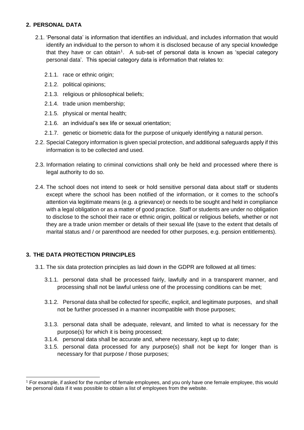## **2. PERSONAL DATA**

- 2.1. 'Personal data' is information that identifies an individual, and includes information that would identify an individual to the person to whom it is disclosed because of any special knowledge that they have or can obtain<sup>1</sup>. A sub-set of personal data is known as 'special category personal data'. This special category data is information that relates to:
	- 2.1.1. race or ethnic origin;
	- 2.1.2. political opinions;
	- 2.1.3. religious or philosophical beliefs;
	- 2.1.4. trade union membership;
	- 2.1.5. physical or mental health;
	- 2.1.6. an individual's sex life or sexual orientation;
	- 2.1.7. genetic or biometric data for the purpose of uniquely identifying a natural person.
- 2.2. Special Category information is given special protection, and additional safeguards apply if this information is to be collected and used.
- 2.3. Information relating to criminal convictions shall only be held and processed where there is legal authority to do so.
- 2.4. The school does not intend to seek or hold sensitive personal data about staff or students except where the school has been notified of the information, or it comes to the school's attention via legitimate means (e.g. a grievance) or needs to be sought and held in compliance with a legal obligation or as a matter of good practice. Staff or students are under no obligation to disclose to the school their race or ethnic origin, political or religious beliefs, whether or not they are a trade union member or details of their sexual life (save to the extent that details of marital status and / or parenthood are needed for other purposes, e.g. pension entitlements).

## **3. THE DATA PROTECTION PRINCIPLES**

 $\overline{a}$ 

- 3.1. The six data protection principles as laid down in the GDPR are followed at all times:
	- 3.1.1. personal data shall be processed fairly, lawfully and in a transparent manner, and processing shall not be lawful unless one of the processing conditions can be met;
	- 3.1.2. Personal data shall be collected for specific, explicit, and legitimate purposes, and shall not be further processed in a manner incompatible with those purposes;
	- 3.1.3. personal data shall be adequate, relevant, and limited to what is necessary for the purpose(s) for which it is being processed;
	- 3.1.4. personal data shall be accurate and, where necessary, kept up to date;
	- 3.1.5. personal data processed for any purpose(s) shall not be kept for longer than is necessary for that purpose / those purposes;

<sup>1</sup> For example, if asked for the number of female employees, and you only have one female employee, this would be personal data if it was possible to obtain a list of employees from the website.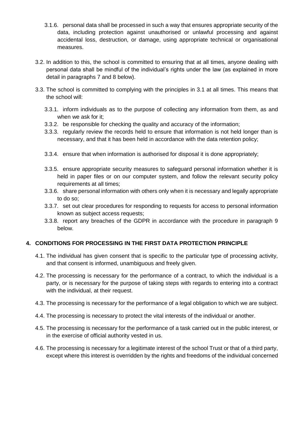- 3.1.6. personal data shall be processed in such a way that ensures appropriate security of the data, including protection against unauthorised or unlawful processing and against accidental loss, destruction, or damage, using appropriate technical or organisational measures.
- 3.2. In addition to this, the school is committed to ensuring that at all times, anyone dealing with personal data shall be mindful of the individual's rights under the law (as explained in more detail in paragraphs 7 and 8 below).
- 3.3. The school is committed to complying with the principles in 3.1 at all times. This means that the school will:
	- 3.3.1. inform individuals as to the purpose of collecting any information from them, as and when we ask for it;
	- 3.3.2. be responsible for checking the quality and accuracy of the information;
	- 3.3.3. regularly review the records held to ensure that information is not held longer than is necessary, and that it has been held in accordance with the data retention policy;
	- 3.3.4. ensure that when information is authorised for disposal it is done appropriately;
	- 3.3.5. ensure appropriate security measures to safeguard personal information whether it is held in paper files or on our computer system, and follow the relevant security policy requirements at all times;
	- 3.3.6. share personal information with others only when it is necessary and legally appropriate to do so;
	- 3.3.7. set out clear procedures for responding to requests for access to personal information known as subject access requests;
	- 3.3.8. report any breaches of the GDPR in accordance with the procedure in paragraph 9 below.

# **4. CONDITIONS FOR PROCESSING IN THE FIRST DATA PROTECTION PRINCIPLE**

- 4.1. The individual has given consent that is specific to the particular type of processing activity, and that consent is informed, unambiguous and freely given.
- 4.2. The processing is necessary for the performance of a contract, to which the individual is a party, or is necessary for the purpose of taking steps with regards to entering into a contract with the individual, at their request.
- 4.3. The processing is necessary for the performance of a legal obligation to which we are subject.
- 4.4. The processing is necessary to protect the vital interests of the individual or another.
- 4.5. The processing is necessary for the performance of a task carried out in the public interest, or in the exercise of official authority vested in us.
- 4.6. The processing is necessary for a legitimate interest of the school Trust or that of a third party, except where this interest is overridden by the rights and freedoms of the individual concerned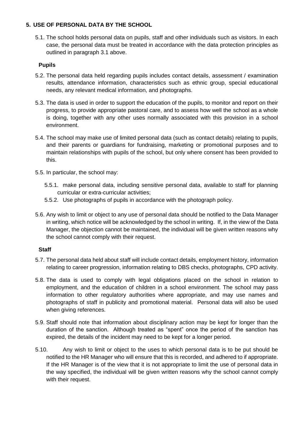## **5. USE OF PERSONAL DATA BY THE SCHOOL**

5.1. The school holds personal data on pupils, staff and other individuals such as visitors. In each case, the personal data must be treated in accordance with the data protection principles as outlined in paragraph 3.1 above.

#### **Pupils**

- 5.2. The personal data held regarding pupils includes contact details, assessment / examination results, attendance information, characteristics such as ethnic group, special educational needs, any relevant medical information, and photographs.
- 5.3. The data is used in order to support the education of the pupils, to monitor and report on their progress, to provide appropriate pastoral care, and to assess how well the school as a whole is doing, together with any other uses normally associated with this provision in a school environment.
- 5.4. The school may make use of limited personal data (such as contact details) relating to pupils, and their parents or guardians for fundraising, marketing or promotional purposes and to maintain relationships with pupils of the school, but only where consent has been provided to this.
- 5.5. In particular, the school may:
	- 5.5.1. make personal data, including sensitive personal data, available to staff for planning curricular or extra-curricular activities;
	- 5.5.2. Use photographs of pupils in accordance with the photograph policy.
- 5.6. Any wish to limit or object to any use of personal data should be notified to the Data Manager in writing, which notice will be acknowledged by the school in writing. If, in the view of the Data Manager, the objection cannot be maintained, the individual will be given written reasons why the school cannot comply with their request.

#### **Staff**

- 5.7. The personal data held about staff will include contact details, employment history, information relating to career progression, information relating to DBS checks, photographs, CPD activity.
- 5.8. The data is used to comply with legal obligations placed on the school in relation to employment, and the education of children in a school environment. The school may pass information to other regulatory authorities where appropriate, and may use names and photographs of staff in publicity and promotional material. Personal data will also be used when giving references.
- 5.9. Staff should note that information about disciplinary action may be kept for longer than the duration of the sanction. Although treated as "spent" once the period of the sanction has expired, the details of the incident may need to be kept for a longer period.
- 5.10. Any wish to limit or object to the uses to which personal data is to be put should be notified to the HR Manager who will ensure that this is recorded, and adhered to if appropriate. If the HR Manager is of the view that it is not appropriate to limit the use of personal data in the way specified, the individual will be given written reasons why the school cannot comply with their request.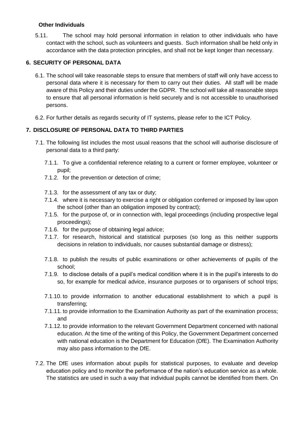## **Other Individuals**

5.11. The school may hold personal information in relation to other individuals who have contact with the school, such as volunteers and guests. Such information shall be held only in accordance with the data protection principles, and shall not be kept longer than necessary.

## **6. SECURITY OF PERSONAL DATA**

- 6.1. The school will take reasonable steps to ensure that members of staff will only have access to personal data where it is necessary for them to carry out their duties. All staff will be made aware of this Policy and their duties under the GDPR. The school will take all reasonable steps to ensure that all personal information is held securely and is not accessible to unauthorised persons.
- 6.2. For further details as regards security of IT systems, please refer to the ICT Policy.

## **7. DISCLOSURE OF PERSONAL DATA TO THIRD PARTIES**

- 7.1. The following list includes the most usual reasons that the school will authorise disclosure of personal data to a third party:
	- 7.1.1. To give a confidential reference relating to a current or former employee, volunteer or pupil;
	- 7.1.2. for the prevention or detection of crime;
	- 7.1.3. for the assessment of any tax or duty;
	- 7.1.4. where it is necessary to exercise a right or obligation conferred or imposed by law upon the school (other than an obligation imposed by contract);
	- 7.1.5. for the purpose of, or in connection with, legal proceedings (including prospective legal proceedings);
	- 7.1.6. for the purpose of obtaining legal advice;
	- 7.1.7. for research, historical and statistical purposes (so long as this neither supports decisions in relation to individuals, nor causes substantial damage or distress);
	- 7.1.8. to publish the results of public examinations or other achievements of pupils of the school;
	- 7.1.9. to disclose details of a pupil's medical condition where it is in the pupil's interests to do so, for example for medical advice, insurance purposes or to organisers of school trips;
	- 7.1.10. to provide information to another educational establishment to which a pupil is transferring;
	- 7.1.11. to provide information to the Examination Authority as part of the examination process; and
	- 7.1.12. to provide information to the relevant Government Department concerned with national education. At the time of the writing of this Policy, the Government Department concerned with national education is the Department for Education (DfE). The Examination Authority may also pass information to the DfE.
- 7.2. The DfE uses information about pupils for statistical purposes, to evaluate and develop education policy and to monitor the performance of the nation's education service as a whole. The statistics are used in such a way that individual pupils cannot be identified from them. On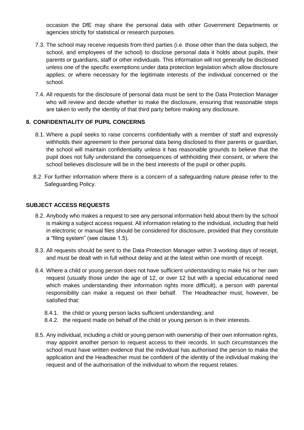occasion the DfE may share the personal data with other Government Departments or agencies strictly for statistical or research purposes.

- 7.3. The school may receive requests from third parties (i.e. those other than the data subject, the school, and employees of the school) to disclose personal data it holds about pupils, their parents or guardians, staff or other individuals. This information will not generally be disclosed unless one of the specific exemptions under data protection legislation which allow disclosure applies; or where necessary for the legitimate interests of the individual concerned or the school.
- 7.4. All requests for the disclosure of personal data must be sent to the Data Protection Manager who will review and decide whether to make the disclosure, ensuring that reasonable steps are taken to verify the identity of that third party before making any disclosure.

## **8. CONFIDENTIALITY OF PUPIL CONCERNS**

- 8.1. Where a pupil seeks to raise concerns confidentially with a member of staff and expressly withholds their agreement to their personal data being disclosed to their parents or guardian, the school will maintain confidentiality unless it has reasonable grounds to believe that the pupil does not fully understand the consequences of withholding their consent, or where the school believes disclosure will be in the best interests of the pupil or other pupils.
- 8.2 For further information where there is a concern of a safeguarding nature please refer to the Safeguarding Policy.

#### **SUBJECT ACCESS REQUESTS**

- 8.2. Anybody who makes a request to see any personal information held about them by the school is making a subject access request. All information relating to the individual, including that held in electronic or manual files should be considered for disclosure, provided that they constitute a "filing system" (see clause 1.5).
- 8.3. All requests should be sent to the Data Protection Manager within 3 working days of receipt, and must be dealt with in full without delay and at the latest within one month of receipt.
- 8.4. Where a child or young person does not have sufficient understanding to make his or her own request (usually those under the age of 12, or over 12 but with a special educational need which makes understanding their information rights more difficult), a person with parental responsibility can make a request on their behalf. The Headteacher must, however, be satisfied that:
	- 8.4.1. the child or young person lacks sufficient understanding; and
	- 8.4.2. the request made on behalf of the child or young person is in their interests.
- 8.5. Any individual, including a child or young person with ownership of their own information rights, may appoint another person to request access to their records. In such circumstances the school must have written evidence that the individual has authorised the person to make the application and the Headteacher must be confident of the identity of the individual making the request and of the authorisation of the individual to whom the request relates.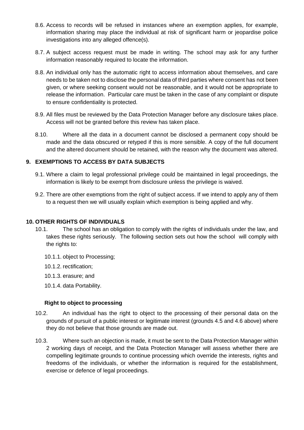- 8.6. Access to records will be refused in instances where an exemption applies, for example, information sharing may place the individual at risk of significant harm or jeopardise police investigations into any alleged offence(s).
- 8.7. A subject access request must be made in writing. The school may ask for any further information reasonably required to locate the information.
- 8.8. An individual only has the automatic right to access information about themselves, and care needs to be taken not to disclose the personal data of third parties where consent has not been given, or where seeking consent would not be reasonable, and it would not be appropriate to release the information. Particular care must be taken in the case of any complaint or dispute to ensure confidentiality is protected.
- 8.9. All files must be reviewed by the Data Protection Manager before any disclosure takes place. Access will not be granted before this review has taken place.
- 8.10. Where all the data in a document cannot be disclosed a permanent copy should be made and the data obscured or retyped if this is more sensible. A copy of the full document and the altered document should be retained, with the reason why the document was altered.

## **9. EXEMPTIONS TO ACCESS BY DATA SUBJECTS**

- 9.1. Where a claim to legal professional privilege could be maintained in legal proceedings, the information is likely to be exempt from disclosure unless the privilege is waived.
- 9.2. There are other exemptions from the right of subject access. If we intend to apply any of them to a request then we will usually explain which exemption is being applied and why.

## **10. OTHER RIGHTS OF INDIVIDUALS**

- 10.1. The school has an obligation to comply with the rights of individuals under the law, and takes these rights seriously. The following section sets out how the school will comply with the rights to:
	- 10.1.1. object to Processing;
	- 10.1.2. rectification;
	- 10.1.3. erasure; and
	- 10.1.4. data Portability.

#### **Right to object to processing**

- 10.2. An individual has the right to object to the processing of their personal data on the grounds of pursuit of a public interest or legitimate interest (grounds 4.5 and 4.6 above) where they do not believe that those grounds are made out.
- 10.3. Where such an objection is made, it must be sent to the Data Protection Manager within 2 working days of receipt, and the Data Protection Manager will assess whether there are compelling legitimate grounds to continue processing which override the interests, rights and freedoms of the individuals, or whether the information is required for the establishment, exercise or defence of legal proceedings.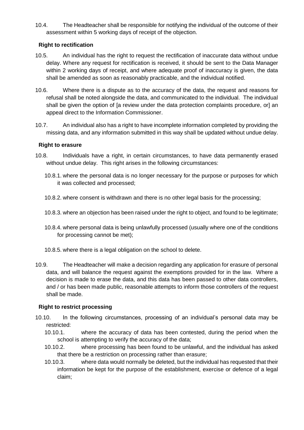10.4. The Headteacher shall be responsible for notifying the individual of the outcome of their assessment within 5 working days of receipt of the objection.

## **Right to rectification**

- 10.5. An individual has the right to request the rectification of inaccurate data without undue delay. Where any request for rectification is received, it should be sent to the Data Manager within 2 working days of receipt, and where adequate proof of inaccuracy is given, the data shall be amended as soon as reasonably practicable, and the individual notified.
- 10.6. Where there is a dispute as to the accuracy of the data, the request and reasons for refusal shall be noted alongside the data, and communicated to the individual. The individual shall be given the option of [a review under the data protection complaints procedure, or] an appeal direct to the Information Commissioner.
- 10.7. An individual also has a right to have incomplete information completed by providing the missing data, and any information submitted in this way shall be updated without undue delay.

## **Right to erasure**

- 10.8. Individuals have a right, in certain circumstances, to have data permanently erased without undue delay. This right arises in the following circumstances:
	- 10.8.1. where the personal data is no longer necessary for the purpose or purposes for which it was collected and processed;
	- 10.8.2. where consent is withdrawn and there is no other legal basis for the processing;
	- 10.8.3. where an objection has been raised under the right to object, and found to be legitimate;
	- 10.8.4. where personal data is being unlawfully processed (usually where one of the conditions for processing cannot be met);
	- 10.8.5. where there is a legal obligation on the school to delete.
- 10.9. The Headteacher will make a decision regarding any application for erasure of personal data, and will balance the request against the exemptions provided for in the law. Where a decision is made to erase the data, and this data has been passed to other data controllers, and / or has been made public, reasonable attempts to inform those controllers of the request shall be made.

#### **Right to restrict processing**

- 10.10. In the following circumstances, processing of an individual's personal data may be restricted:
	- 10.10.1. where the accuracy of data has been contested, during the period when the school is attempting to verify the accuracy of the data;
	- 10.10.2. where processing has been found to be unlawful, and the individual has asked that there be a restriction on processing rather than erasure;
	- 10.10.3. where data would normally be deleted, but the individual has requested that their information be kept for the purpose of the establishment, exercise or defence of a legal claim;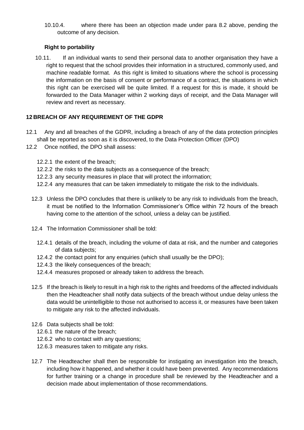10.10.4. where there has been an objection made under para 8.2 above, pending the outcome of any decision.

## **Right to portability**

10.11. If an individual wants to send their personal data to another organisation they have a right to request that the school provides their information in a structured, commonly used, and machine readable format. As this right is limited to situations where the school is processing the information on the basis of consent or performance of a contract, the situations in which this right can be exercised will be quite limited. If a request for this is made, it should be forwarded to the Data Manager within 2 working days of receipt, and the Data Manager will review and revert as necessary.

## **12 BREACH OF ANY REQUIREMENT OF THE GDPR**

- 12.1 Any and all breaches of the GDPR, including a breach of any of the data protection principles shall be reported as soon as it is discovered, to the Data Protection Officer (DPO)
- 12.2 Once notified, the DPO shall assess:
	- 12.2.1 the extent of the breach;
	- 12.2.2 the risks to the data subjects as a consequence of the breach;
	- 12.2.3 any security measures in place that will protect the information;
	- 12.2.4 any measures that can be taken immediately to mitigate the risk to the individuals.
	- 12.3 Unless the DPO concludes that there is unlikely to be any risk to individuals from the breach, it must be notified to the Information Commissioner's Office within 72 hours of the breach having come to the attention of the school, unless a delay can be justified.
	- 12.4 The Information Commissioner shall be told:
		- 12.4.1 details of the breach, including the volume of data at risk, and the number and categories of data subjects;
		- 12.4.2 the contact point for any enquiries (which shall usually be the DPO);
		- 12.4.3 the likely consequences of the breach;
		- 12.4.4 measures proposed or already taken to address the breach.
	- 12.5 If the breach is likely to result in a high risk to the rights and freedoms of the affected individuals then the Headteacher shall notify data subjects of the breach without undue delay unless the data would be unintelligible to those not authorised to access it, or measures have been taken to mitigate any risk to the affected individuals.
	- 12.6 Data subjects shall be told:
		- 12.6.1 the nature of the breach;
		- 12.6.2 who to contact with any questions;
		- 12.6.3 measures taken to mitigate any risks.
	- 12.7 The Headteacher shall then be responsible for instigating an investigation into the breach, including how it happened, and whether it could have been prevented. Any recommendations for further training or a change in procedure shall be reviewed by the Headteacher and a decision made about implementation of those recommendations.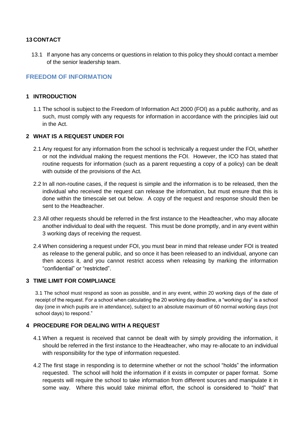## **13 CONTACT**

13.1 If anyone has any concerns or questions in relation to this policy they should contact a member of the senior leadership team.

## **FREEDOM OF INFORMATION**

## **1 INTRODUCTION**

1.1 The school is subject to the Freedom of Information Act 2000 (FOI) as a public authority, and as such, must comply with any requests for information in accordance with the principles laid out in the Act.

## **2 WHAT IS A REQUEST UNDER FOI**

- 2.1 Any request for any information from the school is technically a request under the FOI, whether or not the individual making the request mentions the FOI. However, the ICO has stated that routine requests for information (such as a parent requesting a copy of a policy) can be dealt with outside of the provisions of the Act.
- 2.2 In all non-routine cases, if the request is simple and the information is to be released, then the individual who received the request can release the information, but must ensure that this is done within the timescale set out below. A copy of the request and response should then be sent to the Headteacher.
- 2.3 All other requests should be referred in the first instance to the Headteacher, who may allocate another individual to deal with the request. This must be done promptly, and in any event within 3 working days of receiving the request.
- 2.4 When considering a request under FOI, you must bear in mind that release under FOI is treated as release to the general public, and so once it has been released to an individual, anyone can then access it, and you cannot restrict access when releasing by marking the information "confidential" or "restricted".

#### **3 TIME LIMIT FOR COMPLIANCE**

3.1 The school must respond as soon as possible, and in any event, within 20 working days of the date of receipt of the request. For a school when calculating the 20 working day deadline, a "working day" is a school day (one in which pupils are in attendance), subject to an absolute maximum of 60 normal working days (not school days) to respond."

#### **4 PROCEDURE FOR DEALING WITH A REQUEST**

- 4.1 When a request is received that cannot be dealt with by simply providing the information, it should be referred in the first instance to the Headteacher, who may re-allocate to an individual with responsibility for the type of information requested.
- 4.2 The first stage in responding is to determine whether or not the school "holds" the information requested. The school will hold the information if it exists in computer or paper format. Some requests will require the school to take information from different sources and manipulate it in some way. Where this would take minimal effort, the school is considered to "hold" that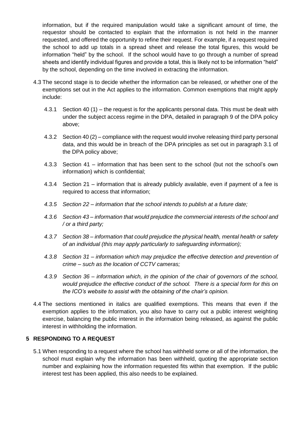information, but if the required manipulation would take a significant amount of time, the requestor should be contacted to explain that the information is not held in the manner requested, and offered the opportunity to refine their request. For example, if a request required the school to add up totals in a spread sheet and release the total figures, this would be information "held" by the school. If the school would have to go through a number of spread sheets and identify individual figures and provide a total, this is likely not to be information "held" by the school, depending on the time involved in extracting the information.

- 4.3 The second stage is to decide whether the information can be released, or whether one of the exemptions set out in the Act applies to the information. Common exemptions that might apply include:
	- 4.3.1 Section 40 (1) the request is for the applicants personal data. This must be dealt with under the subject access regime in the DPA, detailed in paragraph 9 of the DPA policy above;
	- 4.3.2 Section 40 (2) compliance with the request would involve releasing third party personal data, and this would be in breach of the DPA principles as set out in paragraph 3.1 of the DPA policy above;
	- 4.3.3 Section 41 information that has been sent to the school (but not the school's own information) which is confidential;
	- 4.3.4 Section 21 information that is already publicly available, even if payment of a fee is required to access that information;
	- *4.3.5 Section 22 – information that the school intends to publish at a future date;*
	- *4.3.6 Section 43 – information that would prejudice the commercial interests of the school and / or a third party;*
	- *4.3.7 Section 38 – information that could prejudice the physical health, mental health or safety of an individual (this may apply particularly to safeguarding information);*
	- *4.3.8 Section 31 – information which may prejudice the effective detection and prevention of crime – such as the location of CCTV cameras;*
	- *4.3.9 Section 36 – information which, in the opinion of the chair of governors of the school, would prejudice the effective conduct of the school. There is a special form for this on the ICO's website to assist with the obtaining of the chair's opinion.*
- 4.4 The sections mentioned in italics are qualified exemptions. This means that even if the exemption applies to the information, you also have to carry out a public interest weighting exercise, balancing the public interest in the information being released, as against the public interest in withholding the information.

## **5 RESPONDING TO A REQUEST**

5.1 When responding to a request where the school has withheld some or all of the information, the school must explain why the information has been withheld, quoting the appropriate section number and explaining how the information requested fits within that exemption. If the public interest test has been applied, this also needs to be explained.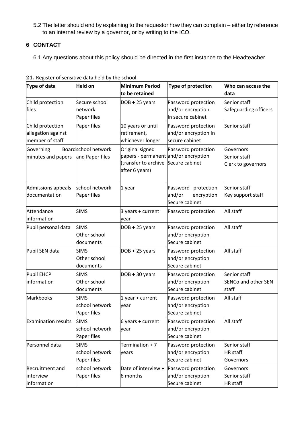5.2 The letter should end by explaining to the requestor how they can complain – either by reference to an internal review by a governor, or by writing to the ICO.

# **6 CONTACT**

6.1 Any questions about this policy should be directed in the first instance to the Headteacher.

| Type of data                                              | <b>Held on</b>                               | <b>Minimum Period</b><br>to be retained                                                                          | Type of protection                                               | Who can access the<br>data                          |
|-----------------------------------------------------------|----------------------------------------------|------------------------------------------------------------------------------------------------------------------|------------------------------------------------------------------|-----------------------------------------------------|
| Child protection<br>files                                 | Secure school<br>network<br>Paper files      | $DOB + 25 years$                                                                                                 | Password protection<br>and/or encryption.<br>In secure cabinet   | Senior staff<br>Safeguarding officers               |
| Child protection<br>allegation against<br>member of staff | Paper files                                  | 10 years or until<br>retirement,<br>whichever longer                                                             | Password protection<br>and/or encryption In<br>secure cabinet    | Senior staff                                        |
| Governing<br>minutes and papers                           | Boardschool network<br>and Paper files       | Original signed<br>papers - permanent and/or encryption<br>(transfer to archive Secure cabinet<br>after 6 years) | Password protection                                              | Governors<br>Senior staff<br>Clerk to governors     |
| Admissions appeals<br>documentation                       | school network<br>Paper files                | 1 year                                                                                                           | protection<br>Password<br>and/or<br>encryption<br>Secure cabinet | Senior staff<br>Key support staff                   |
| Attendance<br>information                                 | <b>SIMS</b>                                  | $3$ years + current<br>vear                                                                                      | Password protection                                              | All staff                                           |
| Pupil personal data                                       | <b>SIMS</b><br>Other school<br>documents     | $DOB + 25 years$                                                                                                 | Password protection<br>and/or encryption<br>Secure cabinet       | All staff                                           |
| Pupil SEN data                                            | <b>SIMS</b><br>Other school<br>documents     | $DOB + 25 years$                                                                                                 | Password protection<br>and/or encryption<br>Secure cabinet       | All staff                                           |
| Pupil EHCP<br>information                                 | <b>SIMS</b><br>Other school<br>documents     | $DOB + 30 years$                                                                                                 | Password protection<br>and/or encryption<br>Secure cabinet       | Senior staff<br><b>SENCo and other SEN</b><br>staff |
| Markbooks                                                 | <b>SIMS</b><br>school network<br>Paper files | 1 year + current<br>year                                                                                         | Password protection<br>and/or encryption<br>Secure cabinet       | All staff                                           |
| <b>Examination results</b>                                | <b>SIMS</b><br>school network<br>Paper files | $6$ years + current<br>year                                                                                      | Password protection<br>and/or encryption<br>Secure cabinet       | All staff                                           |
| Personnel data                                            | <b>SIMS</b><br>school network<br>Paper files | Termination $+7$<br>years                                                                                        | Password protection<br>and/or encryption<br>Secure cabinet       | Senior staff<br><b>HR</b> staff<br>Governors        |
| <b>Recruitment and</b><br>interview<br>information        | school network<br>Paper files                | Date of interview +<br>6 months                                                                                  | Password protection<br>and/or encryption<br>Secure cabinet       | Governors<br>Senior staff<br><b>HR</b> staff        |

**21.** Register of sensitive data held by the school